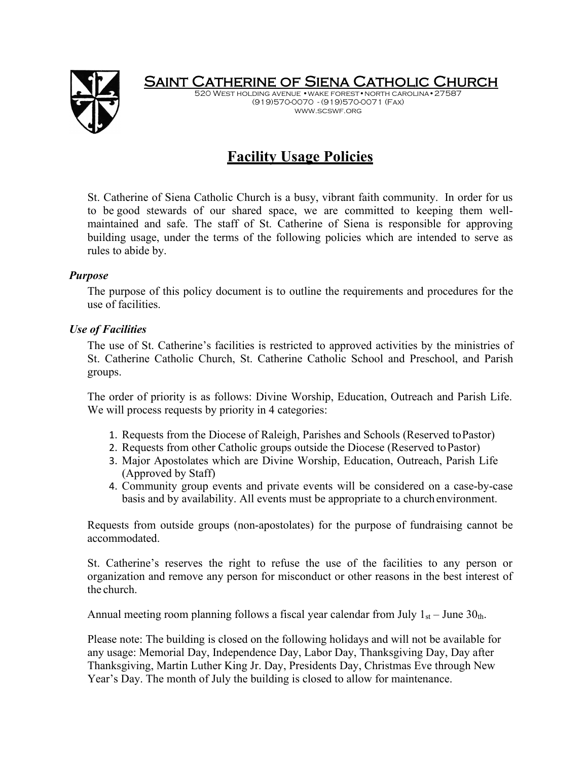

Saint Catherine of Siena Catholic Church 520 West holding avenue •wake forest•north carolina•27587

(919)570-0070 - (919)570-0071 (Fax) www.scswf.org

# **Facility Usage Policies**

St. Catherine of Siena Catholic Church is a busy, vibrant faith community. In order for us to be good stewards of our shared space, we are committed to keeping them wellmaintained and safe. The staff of St. Catherine of Siena is responsible for approving building usage, under the terms of the following policies which are intended to serve as rules to abide by.

### *Purpose*

The purpose of this policy document is to outline the requirements and procedures for the use of facilities.

# *Use of Facilities*

The use of St. Catherine's facilities is restricted to approved activities by the ministries of St. Catherine Catholic Church, St. Catherine Catholic School and Preschool, and Parish groups.

The order of priority is as follows: Divine Worship, Education, Outreach and Parish Life. We will process requests by priority in 4 categories:

- 1. Requests from the Diocese of Raleigh, Parishes and Schools (Reserved toPastor)
- 2. Requests from other Catholic groups outside the Diocese (Reserved toPastor)
- 3. Major Apostolates which are Divine Worship, Education, Outreach, Parish Life (Approved by Staff)
- 4. Community group events and private events will be considered on a case-by-case basis and by availability. All events must be appropriate to a church environment.

Requests from outside groups (non-apostolates) for the purpose of fundraising cannot be accommodated.

St. Catherine's reserves the right to refuse the use of the facilities to any person or organization and remove any person for misconduct or other reasons in the best interest of the church.

Annual meeting room planning follows a fiscal year calendar from July  $1_{st}$  – June  $30_{th}$ .

Please note: The building is closed on the following holidays and will not be available for any usage: Memorial Day, Independence Day, Labor Day, Thanksgiving Day, Day after Thanksgiving, Martin Luther King Jr. Day, Presidents Day, Christmas Eve through New Year's Day. The month of July the building is closed to allow for maintenance.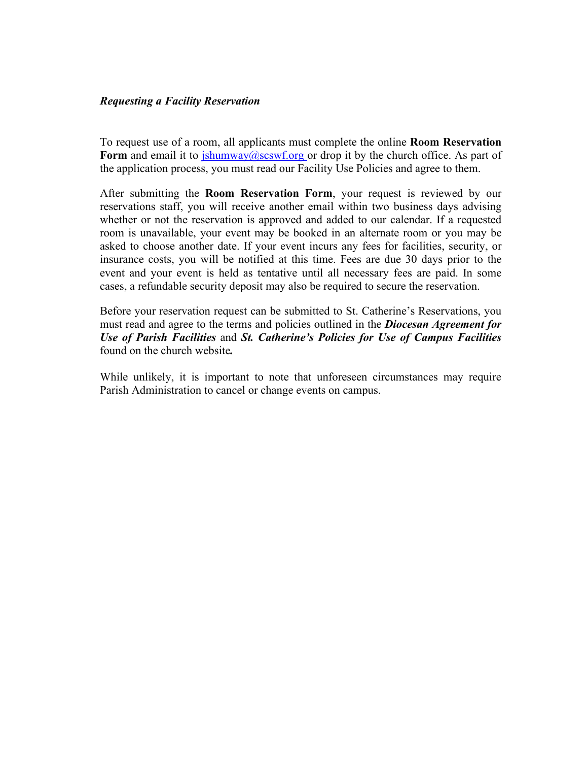#### *Requesting a Facility Reservation*

To request use of a room, all applicants must complete the online **Room Reservation**  Form and email it to  $\frac{\sinh u}{\cosh u}$  is  $\frac{\sinh u}{\cosh u}$  or drop it by the church office. As part of the application process, you must read our Facility Use Policies and agree to them.

After submitting the **Room Reservation Form**, your request is reviewed by our reservations staff, you will receive another email within two business days advising whether or not the reservation is approved and added to our calendar. If a requested room is unavailable, your event may be booked in an alternate room or you may be asked to choose another date. If your event incurs any fees for facilities, security, or insurance costs, you will be notified at this time. Fees are due 30 days prior to the event and your event is held as tentative until all necessary fees are paid. In some cases, a refundable security deposit may also be required to secure the reservation.

Before your reservation request can be submitted to St. Catherine's Reservations, you must read and agree to the terms and policies outlined in the *Diocesan Agreement for Use of Parish Facilities* and *St. Catherine's Policies for Use of Campus Facilities*  found on the church website*.*

While unlikely, it is important to note that unforeseen circumstances may require Parish Administration to cancel or change events on campus.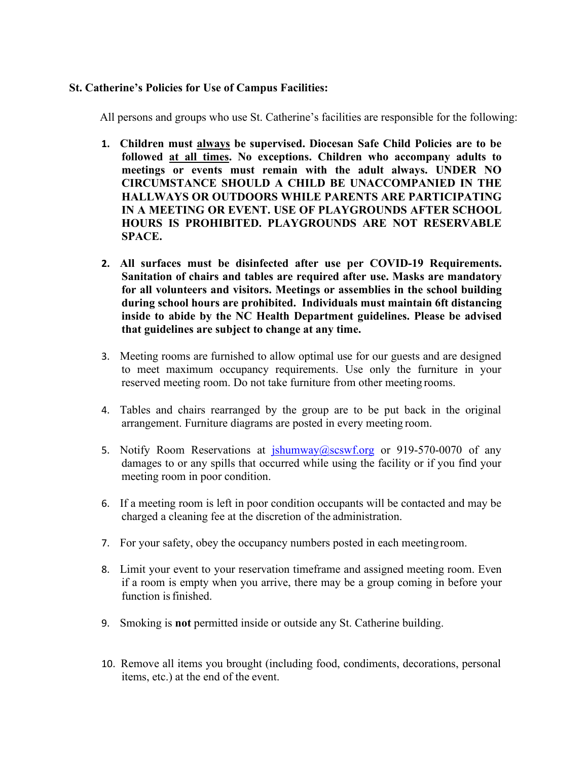## **St. Catherine's Policies for Use of Campus Facilities:**

All persons and groups who use St. Catherine's facilities are responsible for the following:

- **1. Children must always be supervised. Diocesan Safe Child Policies are to be followed at all times. No exceptions. Children who accompany adults to meetings or events must remain with the adult always. UNDER NO CIRCUMSTANCE SHOULD A CHILD BE UNACCOMPANIED IN THE HALLWAYS OR OUTDOORS WHILE PARENTS ARE PARTICIPATING IN A MEETING OR EVENT. USE OF PLAYGROUNDS AFTER SCHOOL HOURS IS PROHIBITED. PLAYGROUNDS ARE NOT RESERVABLE SPACE.**
- **2. All surfaces must be disinfected after use per COVID-19 Requirements. Sanitation of chairs and tables are required after use. Masks are mandatory for all volunteers and visitors. Meetings or assemblies in the school building during school hours are prohibited. Individuals must maintain 6ft distancing inside to abide by the NC Health Department guidelines. Please be advised that guidelines are subject to change at any time.**
- 3. Meeting rooms are furnished to allow optimal use for our guests and are designed to meet maximum occupancy requirements. Use only the furniture in your reserved meeting room. Do not take furniture from other meeting rooms.
- 4. Tables and chairs rearranged by the group are to be put back in the original arrangement. Furniture diagrams are posted in every meeting room.
- 5. Notify Room Reservations at *ishumway@scswf.org* or 919-570-0070 of any damages to or any spills that occurred while using the facility or if you find your meeting room in poor condition.
- 6. If a meeting room is left in poor condition occupants will be contacted and may be charged a cleaning fee at the discretion of the administration.
- 7. For your safety, obey the occupancy numbers posted in each meetingroom.
- 8. Limit your event to your reservation timeframe and assigned meeting room. Even if a room is empty when you arrive, there may be a group coming in before your function is finished.
- 9. Smoking is **not** permitted inside or outside any St. Catherine building.
- 10. Remove all items you brought (including food, condiments, decorations, personal items, etc.) at the end of the event.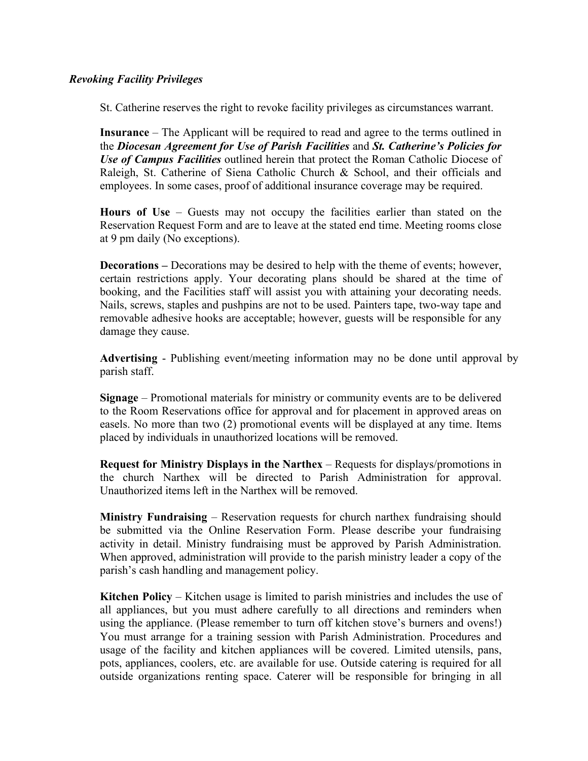# *Revoking Facility Privileges*

St. Catherine reserves the right to revoke facility privileges as circumstances warrant.

**Insurance** – The Applicant will be required to read and agree to the terms outlined in the *Diocesan Agreement for Use of Parish Facilities* and *St. Catherine's Policies for Use of Campus Facilities* outlined herein that protect the Roman Catholic Diocese of Raleigh, St. Catherine of Siena Catholic Church & School, and their officials and employees. In some cases, proof of additional insurance coverage may be required.

**Hours of Use** – Guests may not occupy the facilities earlier than stated on the Reservation Request Form and are to leave at the stated end time. Meeting rooms close at 9 pm daily (No exceptions).

**Decorations –** Decorations may be desired to help with the theme of events; however, certain restrictions apply. Your decorating plans should be shared at the time of booking, and the Facilities staff will assist you with attaining your decorating needs. Nails, screws, staples and pushpins are not to be used. Painters tape, two-way tape and removable adhesive hooks are acceptable; however, guests will be responsible for any damage they cause.

**Advertising** - Publishing event/meeting information may no be done until approval by parish staff.

**Signage** – Promotional materials for ministry or community events are to be delivered to the Room Reservations office for approval and for placement in approved areas on easels. No more than two (2) promotional events will be displayed at any time. Items placed by individuals in unauthorized locations will be removed.

**Request for Ministry Displays in the Narthex** – Requests for displays/promotions in the church Narthex will be directed to Parish Administration for approval. Unauthorized items left in the Narthex will be removed.

**Ministry Fundraising** – Reservation requests for church narthex fundraising should be submitted via the Online Reservation Form. Please describe your fundraising activity in detail. Ministry fundraising must be approved by Parish Administration. When approved, administration will provide to the parish ministry leader a copy of the parish's cash handling and management policy.

**Kitchen Policy** – Kitchen usage is limited to parish ministries and includes the use of all appliances, but you must adhere carefully to all directions and reminders when using the appliance. (Please remember to turn off kitchen stove's burners and ovens!) You must arrange for a training session with Parish Administration. Procedures and usage of the facility and kitchen appliances will be covered. Limited utensils, pans, pots, appliances, coolers, etc. are available for use. Outside catering is required for all outside organizations renting space. Caterer will be responsible for bringing in all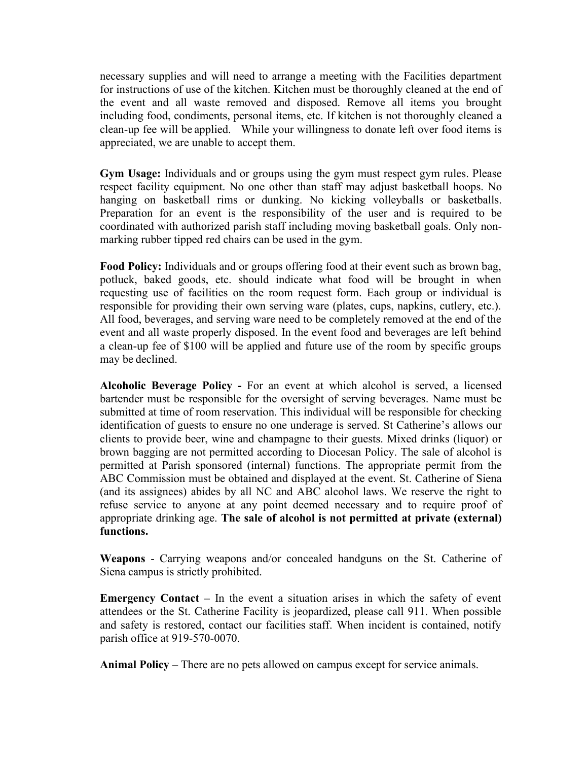necessary supplies and will need to arrange a meeting with the Facilities department for instructions of use of the kitchen. Kitchen must be thoroughly cleaned at the end of the event and all waste removed and disposed. Remove all items you brought including food, condiments, personal items, etc. If kitchen is not thoroughly cleaned a clean-up fee will be applied. While your willingness to donate left over food items is appreciated, we are unable to accept them.

**Gym Usage:** Individuals and or groups using the gym must respect gym rules. Please respect facility equipment. No one other than staff may adjust basketball hoops. No hanging on basketball rims or dunking. No kicking volleyballs or basketballs. Preparation for an event is the responsibility of the user and is required to be coordinated with authorized parish staff including moving basketball goals. Only nonmarking rubber tipped red chairs can be used in the gym.

**Food Policy:** Individuals and or groups offering food at their event such as brown bag, potluck, baked goods, etc. should indicate what food will be brought in when requesting use of facilities on the room request form. Each group or individual is responsible for providing their own serving ware (plates, cups, napkins, cutlery, etc.). All food, beverages, and serving ware need to be completely removed at the end of the event and all waste properly disposed. In the event food and beverages are left behind a clean-up fee of \$100 will be applied and future use of the room by specific groups may be declined.

**Alcoholic Beverage Policy -** For an event at which alcohol is served, a licensed bartender must be responsible for the oversight of serving beverages. Name must be submitted at time of room reservation. This individual will be responsible for checking identification of guests to ensure no one underage is served. St Catherine's allows our clients to provide beer, wine and champagne to their guests. Mixed drinks (liquor) or brown bagging are not permitted according to Diocesan Policy. The sale of alcohol is permitted at Parish sponsored (internal) functions. The appropriate permit from the ABC Commission must be obtained and displayed at the event. St. Catherine of Siena (and its assignees) abides by all NC and ABC alcohol laws. We reserve the right to refuse service to anyone at any point deemed necessary and to require proof of appropriate drinking age. **The sale of alcohol is not permitted at private (external) functions.**

**Weapons** - Carrying weapons and/or concealed handguns on the St. Catherine of Siena campus is strictly prohibited.

**Emergency Contact –** In the event a situation arises in which the safety of event attendees or the St. Catherine Facility is jeopardized, please call 911. When possible and safety is restored, contact our facilities staff. When incident is contained, notify parish office at 919-570-0070.

**Animal Policy** – There are no pets allowed on campus except for service animals.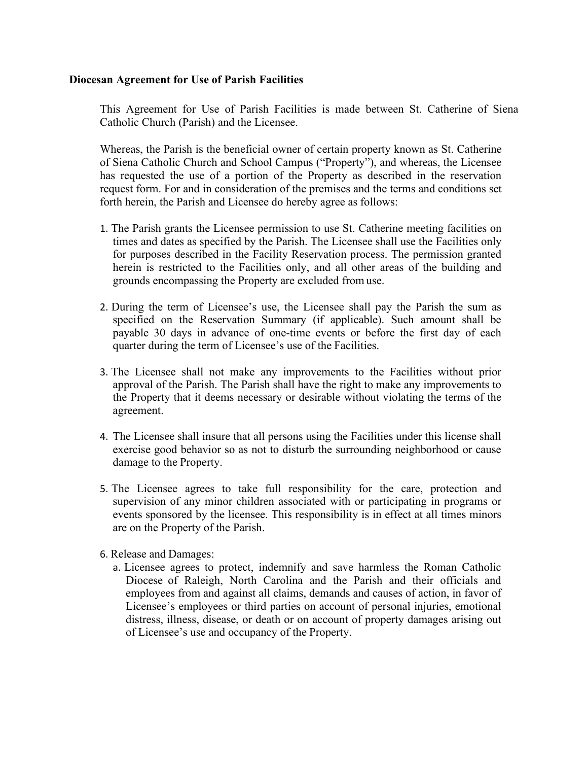#### **Diocesan Agreement for Use of Parish Facilities**

This Agreement for Use of Parish Facilities is made between St. Catherine of Siena Catholic Church (Parish) and the Licensee.

Whereas, the Parish is the beneficial owner of certain property known as St. Catherine of Siena Catholic Church and School Campus ("Property"), and whereas, the Licensee has requested the use of a portion of the Property as described in the reservation request form. For and in consideration of the premises and the terms and conditions set forth herein, the Parish and Licensee do hereby agree as follows:

- 1. The Parish grants the Licensee permission to use St. Catherine meeting facilities on times and dates as specified by the Parish. The Licensee shall use the Facilities only for purposes described in the Facility Reservation process. The permission granted herein is restricted to the Facilities only, and all other areas of the building and grounds encompassing the Property are excluded from use.
- 2. During the term of Licensee's use, the Licensee shall pay the Parish the sum as specified on the Reservation Summary (if applicable). Such amount shall be payable 30 days in advance of one-time events or before the first day of each quarter during the term of Licensee's use of the Facilities.
- 3. The Licensee shall not make any improvements to the Facilities without prior approval of the Parish. The Parish shall have the right to make any improvements to the Property that it deems necessary or desirable without violating the terms of the agreement.
- 4. The Licensee shall insure that all persons using the Facilities under this license shall exercise good behavior so as not to disturb the surrounding neighborhood or cause damage to the Property.
- 5. The Licensee agrees to take full responsibility for the care, protection and supervision of any minor children associated with or participating in programs or events sponsored by the licensee. This responsibility is in effect at all times minors are on the Property of the Parish.
- 6. Release and Damages:
	- a. Licensee agrees to protect, indemnify and save harmless the Roman Catholic Diocese of Raleigh, North Carolina and the Parish and their officials and employees from and against all claims, demands and causes of action, in favor of Licensee's employees or third parties on account of personal injuries, emotional distress, illness, disease, or death or on account of property damages arising out of Licensee's use and occupancy of the Property.